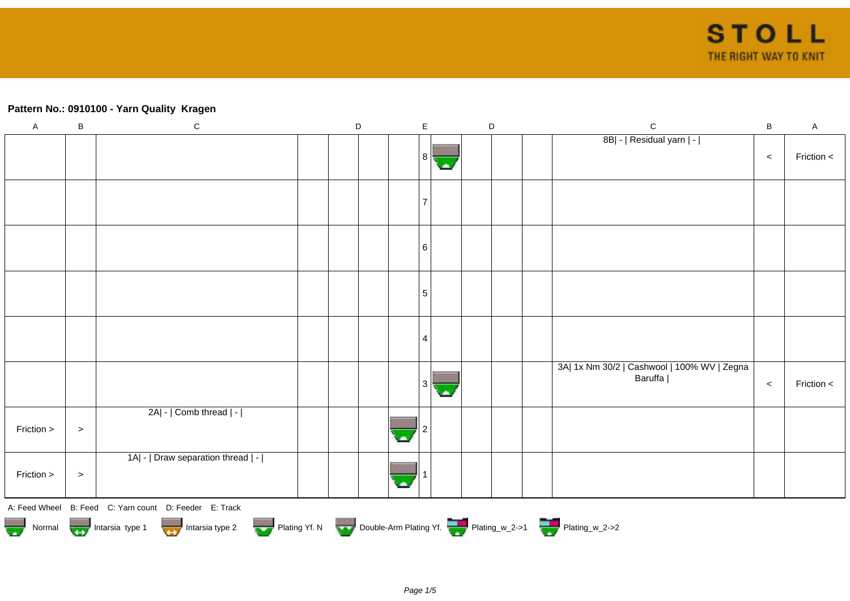# **Pattern No.: 0910100 - Yarn Quality Kragen**

| $\boldsymbol{\mathsf{A}}$ | $\sf B$                                                                                                                                              | ${\bf C}$                          |  | $\mathsf D$ |  |  | E  |  |  | $\mathsf D$ |  | $\mathsf{C}$                                           | $\sf B$ | $\mathsf A$ |
|---------------------------|------------------------------------------------------------------------------------------------------------------------------------------------------|------------------------------------|--|-------------|--|--|----|--|--|-------------|--|--------------------------------------------------------|---------|-------------|
|                           |                                                                                                                                                      |                                    |  |             |  |  | 81 |  |  |             |  | 8B  -   Residual yarn   -                              | $\,<$   | Friction <  |
|                           |                                                                                                                                                      |                                    |  |             |  |  |    |  |  |             |  |                                                        |         |             |
|                           |                                                                                                                                                      |                                    |  |             |  |  | 6  |  |  |             |  |                                                        |         |             |
|                           |                                                                                                                                                      |                                    |  |             |  |  | 5  |  |  |             |  |                                                        |         |             |
|                           |                                                                                                                                                      |                                    |  |             |  |  | 4  |  |  |             |  |                                                        |         |             |
|                           |                                                                                                                                                      |                                    |  |             |  |  | 3  |  |  |             |  | 3A  1x Nm 30/2   Cashwool   100% WV   Zegna<br>Baruffa | $\,<$   | Friction <  |
| Friction >                | $\, > \,$                                                                                                                                            | 2A  -   Comb thread   -            |  |             |  |  |    |  |  |             |  |                                                        |         |             |
| Friction >                | $\, > \,$                                                                                                                                            | 1A  -   Draw separation thread   - |  |             |  |  |    |  |  |             |  |                                                        |         |             |
|                           | A: Feed Wheel B: Feed C: Yarn count D: Feeder E: Track<br>Normal Intarsia type 1 Intarsia type 2 Plating Yf. N Double-Arm Plating Yf. Plating_w_2->1 |                                    |  |             |  |  |    |  |  |             |  |                                                        |         |             |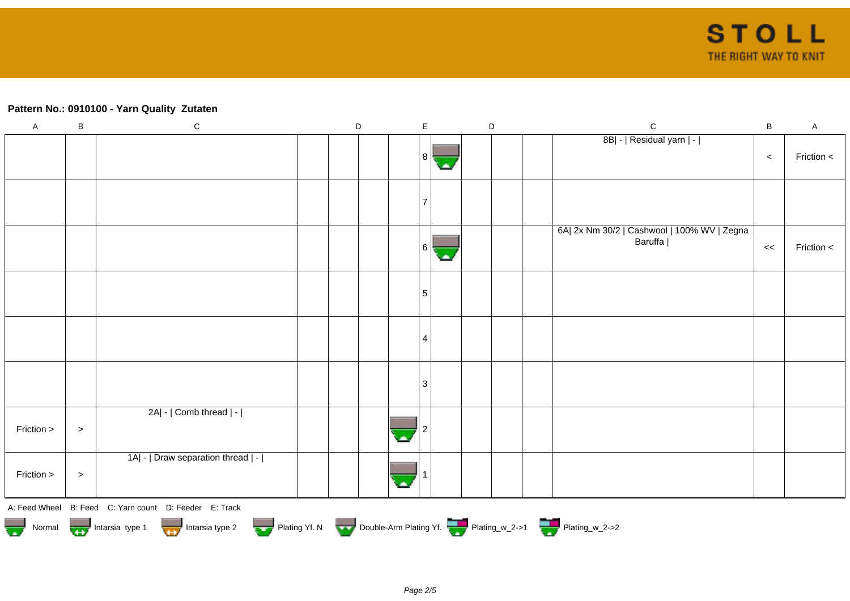# **Pattern No.: 0910100 - Yarn Quality Zutaten**

| $\mathsf A$                                                                 | $\sf B$   | ${\bf C}$                                              |  | D |  | $\mathsf E$ |  |  | $\mathsf D$ |  | ${\bf C}$                                              | $\, {\bf B}$ | $\mathsf A$ |
|-----------------------------------------------------------------------------|-----------|--------------------------------------------------------|--|---|--|-------------|--|--|-------------|--|--------------------------------------------------------|--------------|-------------|
|                                                                             |           |                                                        |  |   |  | 8           |  |  |             |  | 8B  -   Residual yarn   -                              | $\,<$        | Friction <  |
|                                                                             |           |                                                        |  |   |  |             |  |  |             |  |                                                        |              |             |
|                                                                             |           |                                                        |  |   |  | 6 I         |  |  |             |  | 6A  2x Nm 30/2   Cashwool   100% WV   Zegna<br>Baruffa | <<           | Friction <  |
|                                                                             |           |                                                        |  |   |  | 5           |  |  |             |  |                                                        |              |             |
|                                                                             |           |                                                        |  |   |  | 4           |  |  |             |  |                                                        |              |             |
|                                                                             |           |                                                        |  |   |  | 3           |  |  |             |  |                                                        |              |             |
| Friction >                                                                  | $\, > \,$ | 2A  -   Comb thread   -                                |  |   |  |             |  |  |             |  |                                                        |              |             |
| Friction >                                                                  | $\, > \,$ | 1A  -   Draw separation thread   -                     |  |   |  |             |  |  |             |  |                                                        |              |             |
|                                                                             |           | A: Feed Wheel B: Feed C: Yarn count D: Feeder E: Track |  |   |  |             |  |  |             |  |                                                        |              |             |
| Normal Intarsia type 1 Intarsia type 2 Plating Yf. N Double-Arm Plating Yf. |           |                                                        |  |   |  |             |  |  |             |  |                                                        |              |             |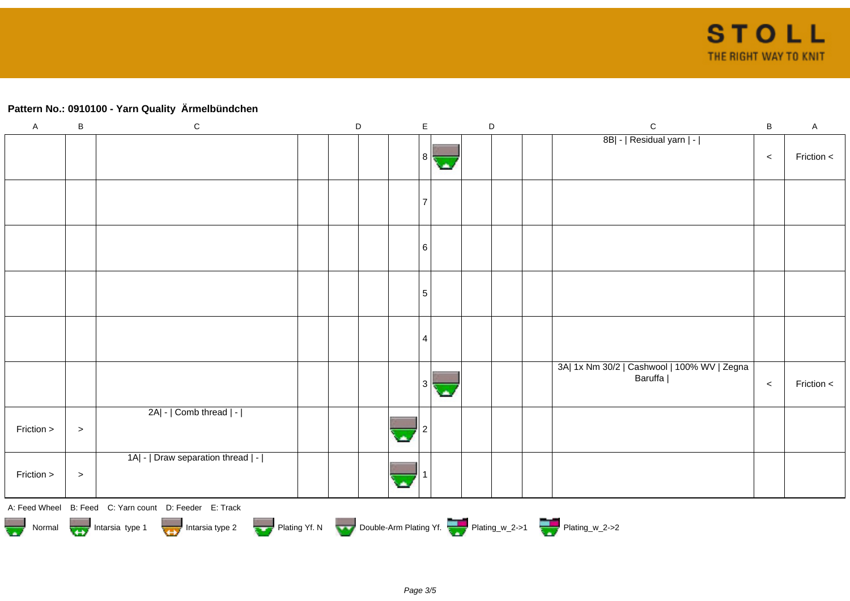# **Pattern No.: 0910100 - Yarn Quality Ärmelbündchen**

| $\mathsf A$ | $\sf B$ | ${\bf C}$                                                                                      | $\mathsf D$ |  | E              |  | $\mathsf D$ | $\mathsf{C}$                                           | $\sf{B}$ | $\mathsf A$ |
|-------------|---------|------------------------------------------------------------------------------------------------|-------------|--|----------------|--|-------------|--------------------------------------------------------|----------|-------------|
|             |         |                                                                                                |             |  |                |  |             | 8B  -   Residual yarn   -                              |          |             |
|             |         |                                                                                                |             |  | 81             |  |             |                                                        | $\,<$    | Friction <  |
|             |         |                                                                                                |             |  |                |  |             |                                                        |          |             |
|             |         |                                                                                                |             |  |                |  |             |                                                        |          |             |
|             |         |                                                                                                |             |  |                |  |             |                                                        |          |             |
|             |         |                                                                                                |             |  | 6              |  |             |                                                        |          |             |
|             |         |                                                                                                |             |  | 5              |  |             |                                                        |          |             |
|             |         |                                                                                                |             |  |                |  |             |                                                        |          |             |
|             |         |                                                                                                |             |  | $\overline{4}$ |  |             |                                                        |          |             |
|             |         |                                                                                                |             |  |                |  |             |                                                        |          |             |
|             |         |                                                                                                |             |  | 3              |  |             | 3A  1x Nm 30/2   Cashwool   100% WV   Zegna<br>Baruffa | $\,<$    | Friction <  |
|             |         |                                                                                                |             |  |                |  |             |                                                        |          |             |
| Friction >  | $\,>$   | 2A  -   Comb thread   -                                                                        |             |  |                |  |             |                                                        |          |             |
|             |         |                                                                                                |             |  |                |  |             |                                                        |          |             |
| Friction >  | $\,>$   | 1A  -   Draw separation thread   -                                                             |             |  |                |  |             |                                                        |          |             |
|             |         |                                                                                                |             |  |                |  |             |                                                        |          |             |
|             |         | A: Feed Wheel B: Feed C: Yarn count D: Feeder E: Track                                         |             |  |                |  |             |                                                        |          |             |
|             |         | Normal Intarsia type 1 Intarsia type 2 Plating Yf. N Double-Arm Plating Yf. The Plating w_2->1 |             |  |                |  |             |                                                        |          |             |
|             |         |                                                                                                |             |  |                |  |             |                                                        |          |             |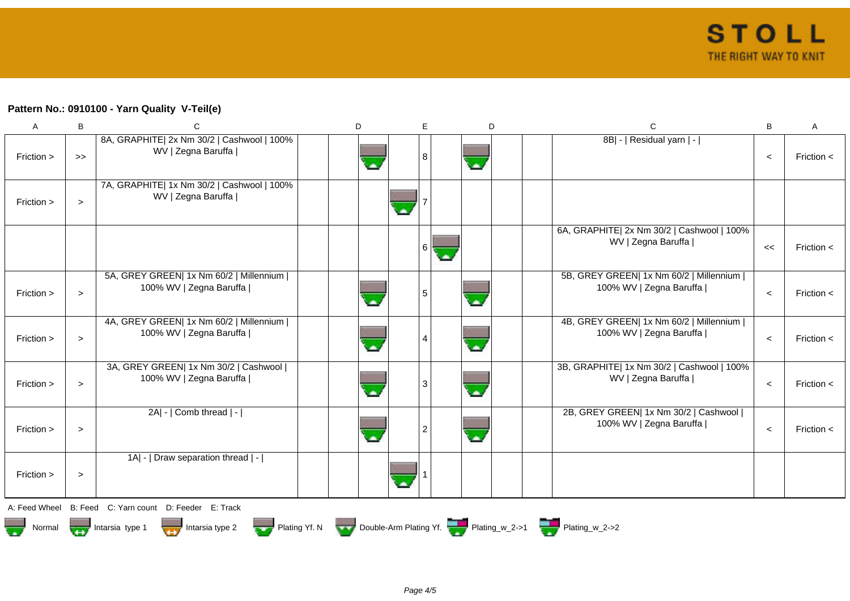### **Pattern No.: 0910100 - Yarn Quality V-Teil(e)**

| A          | B                 | C                                                                    | D | E | D  | $\mathsf{C}$                                                         | в       | Α              |
|------------|-------------------|----------------------------------------------------------------------|---|---|----|----------------------------------------------------------------------|---------|----------------|
| Friction > | $\boldsymbol{>>}$ | 8A, GRAPHITE  2x Nm 30/2   Cashwool   100%<br>WV   Zegna Baruffa     |   | 8 | A. | 8B  -   Residual yarn   -                                            | $\prec$ | Friction $\lt$ |
| Friction > | $\geq$            | 7A, GRAPHITE  1x Nm 30/2   Cashwool   100%<br>WV   Zegna Baruffa     |   |   |    |                                                                      |         |                |
|            |                   |                                                                      |   | 6 |    | 6A, GRAPHITE  2x Nm 30/2   Cashwool   100%<br>WV   Zegna Baruffa     | <<      | Friction $\lt$ |
| Friction > | $\geq$            | 5A, GREY GREEN  1x Nm 60/2   Millennium  <br>100% WV   Zegna Baruffa |   | 5 |    | 5B, GREY GREEN  1x Nm 60/2   Millennium  <br>100% WV   Zegna Baruffa | $\prec$ | Friction $\lt$ |
| Friction > | $\geq$            | 4A, GREY GREEN  1x Nm 60/2   Millennium  <br>100% WV   Zegna Baruffa |   |   |    | 4B, GREY GREEN  1x Nm 60/2   Millennium  <br>100% WV   Zegna Baruffa | $\prec$ | Friction $\lt$ |
| Friction > | $\geq$            | 3A, GREY GREEN  1x Nm 30/2   Cashwool  <br>100% WV   Zegna Baruffa   |   | 3 | A. | 3B, GRAPHITE  1x Nm 30/2   Cashwool   100%<br>WV   Zegna Baruffa     | $\prec$ | Friction $\lt$ |
| Friction > | $\,>$             | 2A  -   Comb thread   -                                              |   |   |    | 2B, GREY GREEN  1x Nm 30/2   Cashwool  <br>100% WV   Zegna Baruffa   | $\prec$ | Friction $\lt$ |
| Friction > | $\,>$             | 1A  -   Draw separation thread   -                                   |   |   |    |                                                                      |         |                |
|            |                   | A Food Whool B Food C Varn count D Fooder F Track                    |   |   |    |                                                                      |         |                |

A: Feed Wheel B: Feed C: Yarn count D: Feeder E: Track